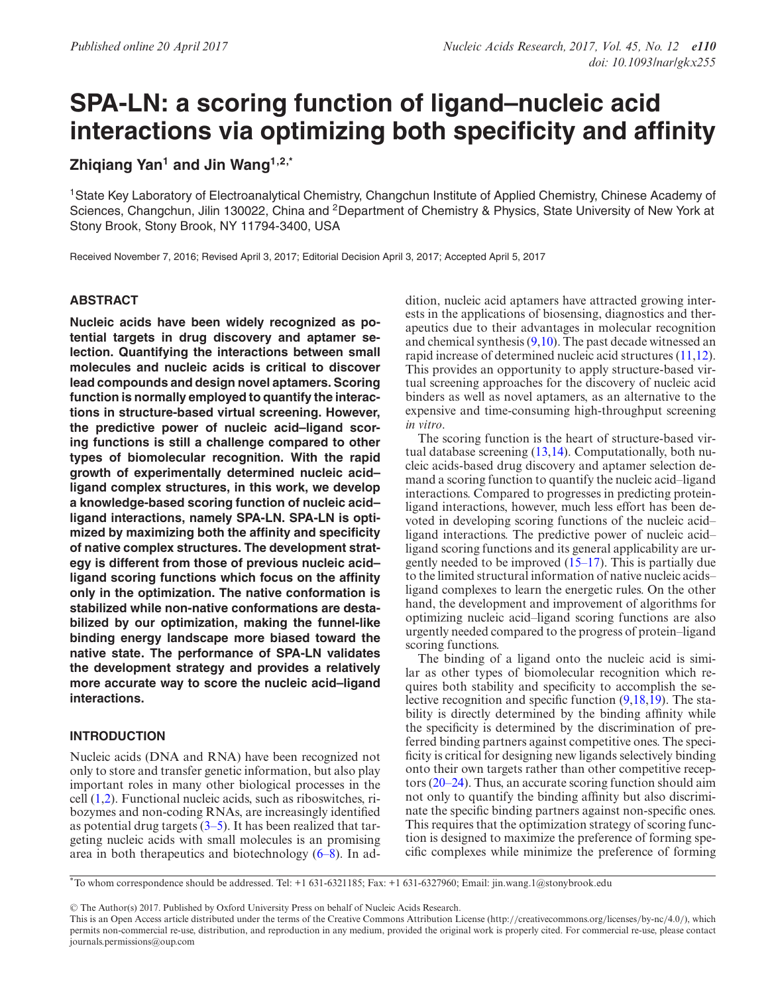# **SPA-LN: a scoring function of ligand–nucleic acid interactions via optimizing both specificity and affinity**

# **Zhiqiang Yan<sup>1</sup> and Jin Wang1,2,\***

1State Key Laboratory of Electroanalytical Chemistry, Changchun Institute of Applied Chemistry, Chinese Academy of Sciences, Changchun, Jilin 130022, China and <sup>2</sup>Department of Chemistry & Physics, State University of New York at Stony Brook, Stony Brook, NY 11794-3400, USA

Received November 7, 2016; Revised April 3, 2017; Editorial Decision April 3, 2017; Accepted April 5, 2017

# **ABSTRACT**

**Nucleic acids have been widely recognized as potential targets in drug discovery and aptamer selection. Quantifying the interactions between small molecules and nucleic acids is critical to discover lead compounds and design novel aptamers. Scoring function is normally employed to quantify the interactions in structure-based virtual screening. However, the predictive power of nucleic acid–ligand scoring functions is still a challenge compared to other types of biomolecular recognition. With the rapid growth of experimentally determined nucleic acid– ligand complex structures, in this work, we develop a knowledge-based scoring function of nucleic acid– ligand interactions, namely SPA-LN. SPA-LN is optimized by maximizing both the affinity and specificity of native complex structures. The development strategy is different from those of previous nucleic acid– ligand scoring functions which focus on the affinity only in the optimization. The native conformation is stabilized while non-native conformations are destabilized by our optimization, making the funnel-like binding energy landscape more biased toward the native state. The performance of SPA-LN validates the development strategy and provides a relatively more accurate way to score the nucleic acid–ligand interactions.**

## **INTRODUCTION**

Nucleic acids (DNA and RNA) have been recognized not only to store and transfer genetic information, but also play important roles in many other biological processes in the cell [\(1,2\)](#page-6-0). Functional nucleic acids, such as riboswitches, ribozymes and non-coding RNAs, are increasingly identified as potential drug targets  $(3-5)$ . It has been realized that targeting nucleic acids with small molecules is an promising area in both therapeutics and biotechnology [\(6–8\)](#page-6-0). In addition, nucleic acid aptamers have attracted growing interests in the applications of biosensing, diagnostics and therapeutics due to their advantages in molecular recognition and chemical synthesis  $(9,10)$ . The past decade witnessed an rapid increase of determined nucleic acid structures [\(11,12\)](#page-6-0). This provides an opportunity to apply structure-based virtual screening approaches for the discovery of nucleic acid binders as well as novel aptamers, as an alternative to the expensive and time-consuming high-throughput screening *in vitro*.

The scoring function is the heart of structure-based virtual database screening [\(13,14\)](#page-6-0). Computationally, both nucleic acids-based drug discovery and aptamer selection demand a scoring function to quantify the nucleic acid–ligand interactions. Compared to progresses in predicting proteinligand interactions, however, much less effort has been devoted in developing scoring functions of the nucleic acid– ligand interactions. The predictive power of nucleic acid– ligand scoring functions and its general applicability are urgently needed to be improved [\(15–17\)](#page-6-0). This is partially due to the limited structural information of native nucleic acids– ligand complexes to learn the energetic rules. On the other hand, the development and improvement of algorithms for optimizing nucleic acid–ligand scoring functions are also urgently needed compared to the progress of protein–ligand scoring functions.

The binding of a ligand onto the nucleic acid is similar as other types of biomolecular recognition which requires both stability and specificity to accomplish the selective recognition and specific function [\(9,18,19\)](#page-6-0). The stability is directly determined by the binding affinity while the specificity is determined by the discrimination of preferred binding partners against competitive ones. The specificity is critical for designing new ligands selectively binding onto their own targets rather than other competitive receptors [\(20–24\)](#page-6-0). Thus, an accurate scoring function should aim not only to quantify the binding affinity but also discriminate the specific binding partners against non-specific ones. This requires that the optimization strategy of scoring function is designed to maximize the preference of forming specific complexes while minimize the preference of forming

© The Author(s) 2017. Published by Oxford University Press on behalf of Nucleic Acids Research.

<sup>\*</sup>To whom correspondence should be addressed. Tel: +1 631-6321185; Fax: +1 631-6327960; Email: jin.wang.1@stonybrook.edu

This is an Open Access article distributed under the terms of the Creative Commons Attribution License (http://creativecommons.org/licenses/by-nc/4.0/), which permits non-commercial re-use, distribution, and reproduction in any medium, provided the original work is properly cited. For commercial re-use, please contact journals.permissions@oup.com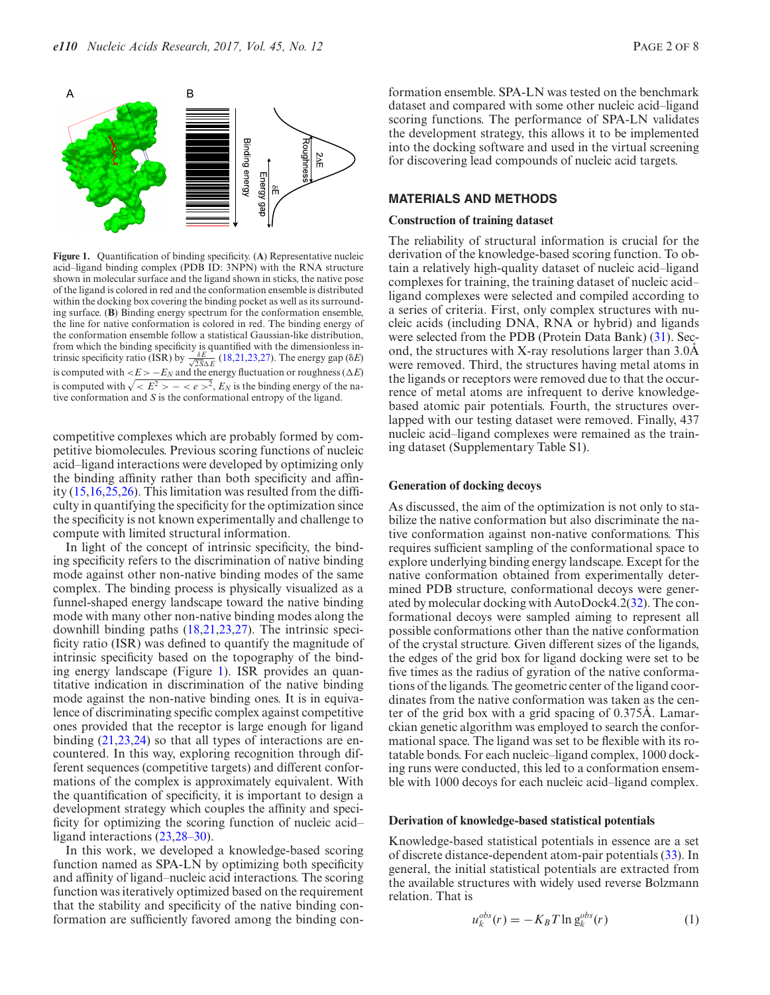<span id="page-1-0"></span>

**Figure 1.** Quantification of binding specificity. (**A**) Representative nucleic acid–ligand binding complex (PDB ID: 3NPN) with the RNA structure shown in molecular surface and the ligand shown in sticks, the native pose of the ligand is colored in red and the conformation ensemble is distributed within the docking box covering the binding pocket as well as its surrounding surface. (**B**) Binding energy spectrum for the conformation ensemble, the line for native conformation is colored in red. The binding energy of the conformation ensemble follow a statistical Gaussian-like distribution, from which the binding specificity is quantified with the dimensionless intrinsic specificity ratio (ISR) by  $\frac{\delta E}{\sqrt{25\Delta E}}$  [\(18,21,23,27\)](#page-6-0). The energy gap ( $\delta E$ ) is computed with  $\langle E \rangle - E_N$  and the energy fluctuation or roughness ( $\Delta E$ ) is computed with  $\sqrt{lt E^2 > -lt e >^2}$ ,  $E_N$  is the binding energy of the native conformation and *S* is the conformational entropy of the ligand.

competitive complexes which are probably formed by competitive biomolecules. Previous scoring functions of nucleic acid–ligand interactions were developed by optimizing only the binding affinity rather than both specificity and affinity [\(15,16,25,26\)](#page-6-0). This limitation was resulted from the difficulty in quantifying the specificity for the optimization since the specificity is not known experimentally and challenge to compute with limited structural information.

In light of the concept of intrinsic specificity, the binding specificity refers to the discrimination of native binding mode against other non-native binding modes of the same complex. The binding process is physically visualized as a funnel-shaped energy landscape toward the native binding mode with many other non-native binding modes along the downhill binding paths [\(18,21,23,27\)](#page-6-0). The intrinsic specificity ratio (ISR) was defined to quantify the magnitude of intrinsic specificity based on the topography of the binding energy landscape (Figure 1). ISR provides an quantitative indication in discrimination of the native binding mode against the non-native binding ones. It is in equivalence of discriminating specific complex against competitive ones provided that the receptor is large enough for ligand binding  $(21,23,24)$  so that all types of interactions are encountered. In this way, exploring recognition through different sequences (competitive targets) and different conformations of the complex is approximately equivalent. With the quantification of specificity, it is important to design a development strategy which couples the affinity and specificity for optimizing the scoring function of nucleic acid– ligand interactions [\(23,28–30\)](#page-6-0).

In this work, we developed a knowledge-based scoring function named as SPA-LN by optimizing both specificity and affinity of ligand–nucleic acid interactions. The scoring function was iteratively optimized based on the requirement that the stability and specificity of the native binding conformation are sufficiently favored among the binding con-

formation ensemble. SPA-LN was tested on the benchmark dataset and compared with some other nucleic acid–ligand scoring functions. The performance of SPA-LN validates the development strategy, this allows it to be implemented into the docking software and used in the virtual screening for discovering lead compounds of nucleic acid targets.

## **MATERIALS AND METHODS**

#### **Construction of training dataset**

The reliability of structural information is crucial for the derivation of the knowledge-based scoring function. To obtain a relatively high-quality dataset of nucleic acid–ligand complexes for training, the training dataset of nucleic acid– ligand complexes were selected and compiled according to a series of criteria. First, only complex structures with nucleic acids (including DNA, RNA or hybrid) and ligands were selected from the PDB (Protein Data Bank) [\(31\)](#page-6-0). Second, the structures with X-ray resolutions larger than  $3.0\text{\AA}$ were removed. Third, the structures having metal atoms in the ligands or receptors were removed due to that the occurrence of metal atoms are infrequent to derive knowledgebased atomic pair potentials. Fourth, the structures overlapped with our testing dataset were removed. Finally, 437 nucleic acid–ligand complexes were remained as the training dataset (Supplementary Table S1).

#### **Generation of docking decoys**

As discussed, the aim of the optimization is not only to stabilize the native conformation but also discriminate the native conformation against non-native conformations. This requires sufficient sampling of the conformational space to explore underlying binding energy landscape. Except for the native conformation obtained from experimentally determined PDB structure, conformational decoys were generated by molecular docking with AutoDock4.2[\(32\)](#page-6-0). The conformational decoys were sampled aiming to represent all possible conformations other than the native conformation of the crystal structure. Given different sizes of the ligands, the edges of the grid box for ligand docking were set to be five times as the radius of gyration of the native conformations of the ligands. The geometric center of the ligand coordinates from the native conformation was taken as the center of the grid box with a grid spacing of  $0.375$ Å. Lamarckian genetic algorithm was employed to search the conformational space. The ligand was set to be flexible with its rotatable bonds. For each nucleic–ligand complex, 1000 docking runs were conducted, this led to a conformation ensemble with 1000 decoys for each nucleic acid–ligand complex.

#### **Derivation of knowledge-based statistical potentials**

Knowledge-based statistical potentials in essence are a set of discrete distance-dependent atom-pair potentials [\(33\)](#page-6-0). In general, the initial statistical potentials are extracted from the available structures with widely used reverse Bolzmann relation. That is

$$
u_k^{obs}(r) = -K_B T \ln g_k^{obs}(r)
$$
 (1)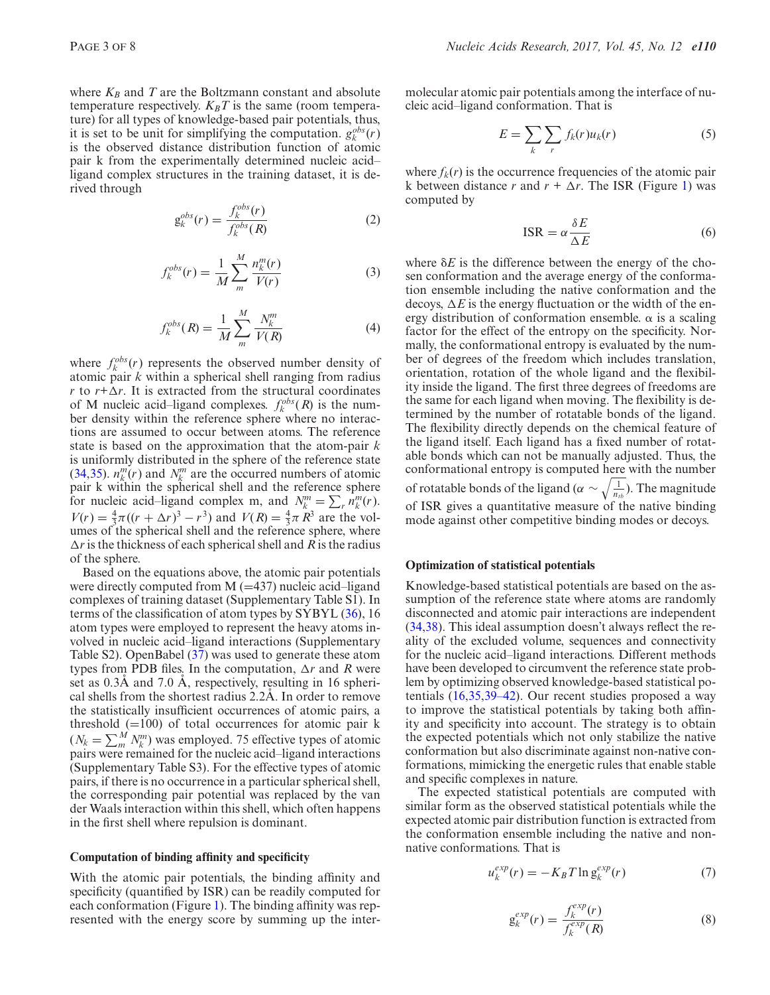<span id="page-2-0"></span>where  $K_B$  and  $T$  are the Boltzmann constant and absolute temperature respectively.  $K_B T$  is the same (room temperature) for all types of knowledge-based pair potentials, thus, it is set to be unit for simplifying the computation.  $g_k^{obs}(r)$ is the observed distance distribution function of atomic pair k from the experimentally determined nucleic acid– ligand complex structures in the training dataset, it is derived through

$$
g_k^{obs}(r) = \frac{f_k^{obs}(r)}{f_k^{obs}(R)}\tag{2}
$$

$$
f_k^{obs}(r) = \frac{1}{M} \sum_{m}^{M} \frac{n_k^{m}(r)}{V(r)}
$$
(3)

$$
f_k^{obs}(R) = \frac{1}{M} \sum_{m}^{M} \frac{N_k^m}{V(R)} \tag{4}
$$

where  $f_k^{obs}(r)$  represents the observed number density of atomic pair *k* within a spherical shell ranging from radius *r* to  $r + \Delta r$ . It is extracted from the structural coordinates of M nucleic acid–ligand complexes.  $f_k^{obs}(R)$  is the number density within the reference sphere where no interactions are assumed to occur between atoms. The reference state is based on the approximation that the atom-pair *k* is uniformly distributed in the sphere of the reference state [\(34,35\)](#page-6-0).  $n_k^m(r)$  and  $N_k^m$  are the occurred numbers of atomic pair k within the spherical shell and the reference sphere for nucleic acid–ligand complex m, and  $N_k^m = \sum_r \hat{n}_k^m(r)$ .  $V(r) = \frac{4}{3}\pi((r + \Delta r)^3 - r^3)$  and  $V(R) = \frac{4}{3}\pi R^3$  are the volumes of the spherical shell and the reference sphere, where  $\Delta r$  is the thickness of each spherical shell and *R* is the radius of the sphere.

Based on the equations above, the atomic pair potentials were directly computed from  $M$  ( $=437$ ) nucleic acid–ligand complexes of training dataset (Supplementary Table S1). In terms of the classification of atom types by SYBYL [\(36\)](#page-7-0), 16 atom types were employed to represent the heavy atoms involved in nucleic acid–ligand interactions (Supplementary Table S2). OpenBabel [\(37\)](#page-7-0) was used to generate these atom types from PDB files. In the computation,  $\Delta r$  and R were set as  $0.3\text{\AA}$  and  $7.0\text{\AA}$ , respectively, resulting in 16 spherical shells from the shortest radius  $2.2\text{\AA}$ . In order to remove the statistically insufficient occurrences of atomic pairs, a threshold  $(=100)$  of total occurrences for atomic pair k  $(N_k = \sum_m^M N_k^m)$  was employed. 75 effective types of atomic pairs were remained for the nucleic acid–ligand interactions (Supplementary Table S3). For the effective types of atomic pairs, if there is no occurrence in a particular spherical shell, the corresponding pair potential was replaced by the van der Waals interaction within this shell, which often happens in the first shell where repulsion is dominant.

#### **Computation of binding affinity and specificity**

With the atomic pair potentials, the binding affinity and specificity (quantified by ISR) can be readily computed for each conformation (Figure [1\)](#page-1-0). The binding affinity was represented with the energy score by summing up the intermolecular atomic pair potentials among the interface of nucleic acid–ligand conformation. That is

$$
E = \sum_{k} \sum_{r} f_k(r) u_k(r) \tag{5}
$$

where  $f_k(r)$  is the occurrence frequencies of the atomic pair k between distance *r* and  $r + \Delta r$ . The ISR (Figure [1\)](#page-1-0) was computed by

$$
ISR = \alpha \frac{\delta E}{\Delta E}
$$
 (6)

where  $\delta E$  is the difference between the energy of the chosen conformation and the average energy of the conformation ensemble including the native conformation and the decoys,  $\Delta E$  is the energy fluctuation or the width of the energy distribution of conformation ensemble.  $\alpha$  is a scaling factor for the effect of the entropy on the specificity. Normally, the conformational entropy is evaluated by the number of degrees of the freedom which includes translation, orientation, rotation of the whole ligand and the flexibility inside the ligand. The first three degrees of freedoms are the same for each ligand when moving. The flexibility is determined by the number of rotatable bonds of the ligand. The flexibility directly depends on the chemical feature of the ligand itself. Each ligand has a fixed number of rotatable bonds which can not be manually adjusted. Thus, the conformational entropy is computed here with the number of rotatable bonds of the ligand ( $\alpha \sim \sqrt{\frac{1}{n_{tb}}}$ ). The magnitude of ISR gives a quantitative measure of the native binding mode against other competitive binding modes or decoys.

## **Optimization of statistical potentials**

Knowledge-based statistical potentials are based on the assumption of the reference state where atoms are randomly disconnected and atomic pair interactions are independent [\(34,](#page-6-0)[38\)](#page-7-0). This ideal assumption doesn't always reflect the reality of the excluded volume, sequences and connectivity for the nucleic acid–ligand interactions. Different methods have been developed to circumvent the reference state problem by optimizing observed knowledge-based statistical potentials [\(16,35](#page-6-0)[,39–42\)](#page-7-0). Our recent studies proposed a way to improve the statistical potentials by taking both affinity and specificity into account. The strategy is to obtain the expected potentials which not only stabilize the native conformation but also discriminate against non-native conformations, mimicking the energetic rules that enable stable and specific complexes in nature.

The expected statistical potentials are computed with similar form as the observed statistical potentials while the expected atomic pair distribution function is extracted from the conformation ensemble including the native and nonnative conformations. That is

$$
u_k^{exp}(r) = -K_B T \ln g_k^{exp}(r)
$$
 (7)

$$
g_k^{exp}(r) = \frac{f_k^{exp}(r)}{f_k^{exp}(R)}\tag{8}
$$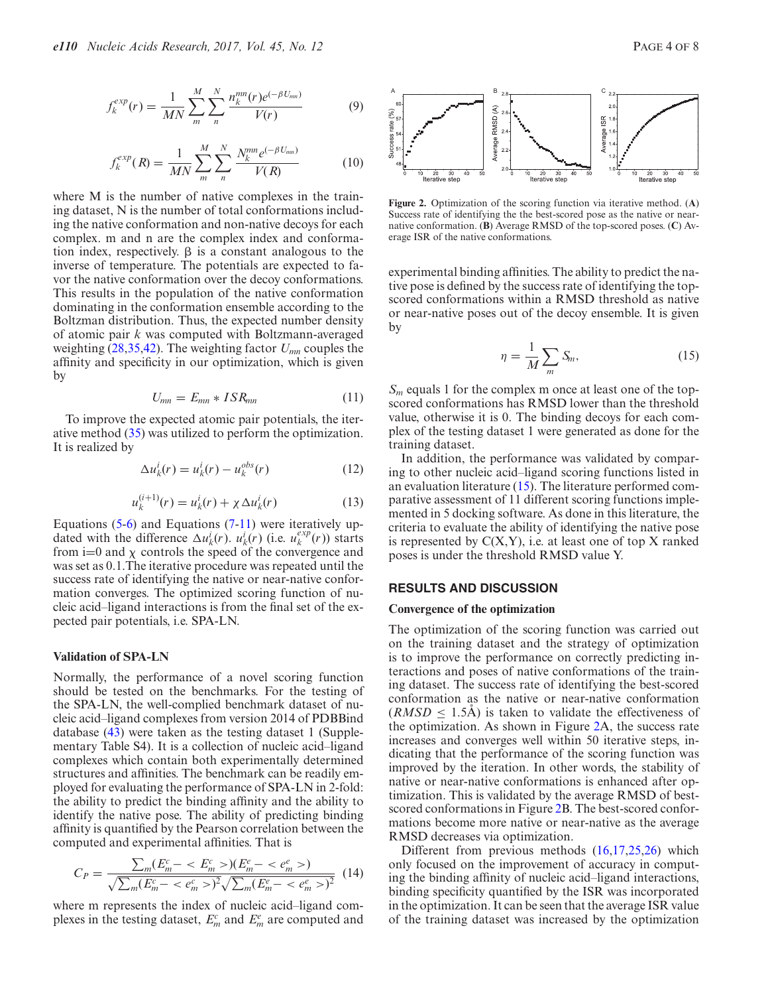<span id="page-3-0"></span>
$$
f_k^{exp}(r) = \frac{1}{MN} \sum_{m}^{M} \sum_{n}^{N} \frac{n_k^{mn}(r)e^{(-\beta U_{mn})}}{V(r)}
$$
(9)

$$
f_k^{exp}(R) = \frac{1}{MN} \sum_{m}^{M} \sum_{n}^{N} \frac{N_k^{mn} e^{(-\beta U_{mn})}}{V(R)}
$$
(10)

where M is the number of native complexes in the training dataset, N is the number of total conformations including the native conformation and non-native decoys for each complex. m and n are the complex index and conformation index, respectively.  $\beta$  is a constant analogous to the inverse of temperature. The potentials are expected to favor the native conformation over the decoy conformations. This results in the population of the native conformation dominating in the conformation ensemble according to the Boltzman distribution. Thus, the expected number density of atomic pair *k* was computed with Boltzmann-averaged weighting [\(28,35,](#page-6-0)[42\)](#page-7-0). The weighting factor *Umn* couples the affinity and specificity in our optimization, which is given by

$$
U_{mn} = E_{mn} * ISR_{mn} \tag{11}
$$

To improve the expected atomic pair potentials, the iterative method [\(35\)](#page-6-0) was utilized to perform the optimization. It is realized by

$$
\Delta u_k^i(r) = u_k^i(r) - u_k^{obs}(r) \tag{12}
$$

$$
u_k^{(i+1)}(r) = u_k^i(r) + \chi \Delta u_k^i(r)
$$
 (13)

Equations  $(5-6)$  and Equations  $(7-11)$  $(7-11)$  were iteratively updated with the difference  $\Delta u_k^i(r)$ .  $u_k^i(r)$  (i.e.  $u_k^{exp}(r)$ ) starts from  $i=0$  and  $\chi$  controls the speed of the convergence and was set as 0.1.The iterative procedure was repeated until the success rate of identifying the native or near-native conformation converges. The optimized scoring function of nucleic acid–ligand interactions is from the final set of the expected pair potentials, i.e. SPA-LN.

## **Validation of SPA-LN**

Normally, the performance of a novel scoring function should be tested on the benchmarks. For the testing of the SPA-LN, the well-complied benchmark dataset of nucleic acid–ligand complexes from version 2014 of PDBBind database [\(43\)](#page-7-0) were taken as the testing dataset 1 (Supplementary Table S4). It is a collection of nucleic acid–ligand complexes which contain both experimentally determined structures and affinities. The benchmark can be readily employed for evaluating the performance of SPA-LN in 2-fold: the ability to predict the binding affinity and the ability to identify the native pose. The ability of predicting binding affinity is quantified by the Pearson correlation between the computed and experimental affinities. That is

$$
C_P = \frac{\sum_m (E_m^c - \langle E_m^c \rangle)(E_m^e - \langle e_m^e \rangle)}{\sqrt{\sum_m (E_m^c - \langle e_m^e \rangle)^2} \sqrt{\sum_m (E_m^e - \langle e_m^e \rangle)^2}} \tag{14}
$$

where m represents the index of nucleic acid–ligand complexes in the testing dataset,  $E_m^c$  and  $E_m^e$  are computed and



**Figure 2.** Optimization of the scoring function via iterative method. (**A**) Success rate of identifying the the best-scored pose as the native or nearnative conformation. (**B**) Average RMSD of the top-scored poses. (**C**) Average ISR of the native conformations.

experimental binding affinities. The ability to predict the native pose is defined by the success rate of identifying the topscored conformations within a RMSD threshold as native or near-native poses out of the decoy ensemble. It is given by

$$
\eta = \frac{1}{M} \sum_{m} S_m, \tag{15}
$$

*S<sub>m</sub>* equals 1 for the complex m once at least one of the topscored conformations has RMSD lower than the threshold value, otherwise it is 0. The binding decoys for each complex of the testing dataset 1 were generated as done for the training dataset.

In addition, the performance was validated by comparing to other nucleic acid–ligand scoring functions listed in an evaluation literature [\(15\)](#page-6-0). The literature performed comparative assessment of 11 different scoring functions implemented in 5 docking software. As done in this literature, the criteria to evaluate the ability of identifying the native pose is represented by  $C(X, Y)$ , i.e. at least one of top X ranked poses is under the threshold RMSD value Y.

## **RESULTS AND DISCUSSION**

#### **Convergence of the optimization**

The optimization of the scoring function was carried out on the training dataset and the strategy of optimization is to improve the performance on correctly predicting interactions and poses of native conformations of the training dataset. The success rate of identifying the best-scored conformation as the native or near-native conformation  $(RMSD \leq 1.5\text{\AA})$  is taken to validate the effectiveness of the optimization. As shown in Figure 2A, the success rate increases and converges well within 50 iterative steps, indicating that the performance of the scoring function was improved by the iteration. In other words, the stability of native or near-native conformations is enhanced after optimization. This is validated by the average RMSD of bestscored conformations in Figure 2B. The best-scored conformations become more native or near-native as the average RMSD decreases via optimization.

Different from previous methods [\(16,17,25,26\)](#page-6-0) which only focused on the improvement of accuracy in computing the binding affinity of nucleic acid–ligand interactions, binding specificity quantified by the ISR was incorporated in the optimization. It can be seen that the average ISR value of the training dataset was increased by the optimization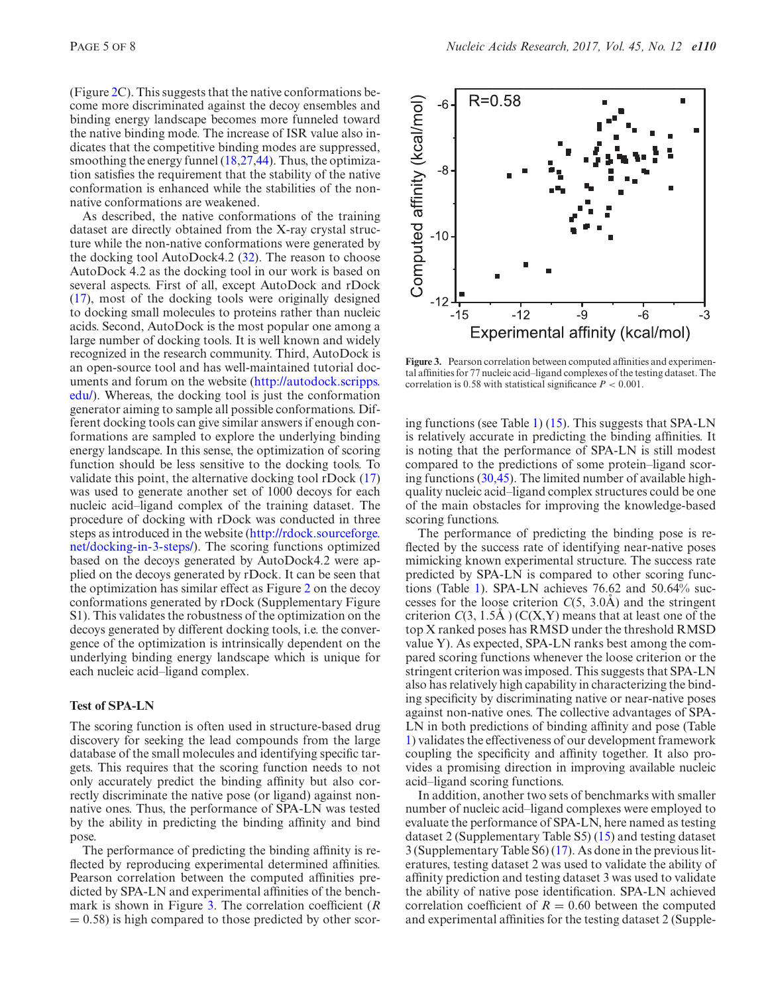(Figure [2C](#page-3-0)). This suggests that the native conformations become more discriminated against the decoy ensembles and binding energy landscape becomes more funneled toward the native binding mode. The increase of ISR value also indicates that the competitive binding modes are suppressed, smoothing the energy funnel [\(18,27](#page-6-0)[,44\)](#page-7-0). Thus, the optimization satisfies the requirement that the stability of the native conformation is enhanced while the stabilities of the nonnative conformations are weakened.

As described, the native conformations of the training dataset are directly obtained from the X-ray crystal structure while the non-native conformations were generated by the docking tool AutoDock4.2 [\(32\)](#page-6-0). The reason to choose AutoDock 4.2 as the docking tool in our work is based on several aspects. First of all, except AutoDock and rDock [\(17\)](#page-6-0), most of the docking tools were originally designed to docking small molecules to proteins rather than nucleic acids. Second, AutoDock is the most popular one among a large number of docking tools. It is well known and widely recognized in the research community. Third, AutoDock is an open-source tool and has well-maintained tutorial doc[uments and forum on the website \(http://autodock.scripps.](http://autodock.scripps.edu/) edu/). Whereas, the docking tool is just the conformation generator aiming to sample all possible conformations. Different docking tools can give similar answers if enough conformations are sampled to explore the underlying binding energy landscape. In this sense, the optimization of scoring function should be less sensitive to the docking tools. To validate this point, the alternative docking tool rDock [\(17\)](#page-6-0) was used to generate another set of 1000 decoys for each nucleic acid–ligand complex of the training dataset. The procedure of docking with rDock was conducted in three [steps as introduced in the website \(http://rdock.sourceforge.](http://rdock.sourceforge.net/docking-in-3-steps/) net/docking-in-3-steps/). The scoring functions optimized based on the decoys generated by AutoDock4.2 were applied on the decoys generated by rDock. It can be seen that the optimization has similar effect as Figure [2](#page-3-0) on the decoy conformations generated by rDock (Supplementary Figure S1). This validates the robustness of the optimization on the decoys generated by different docking tools, i.e. the convergence of the optimization is intrinsically dependent on the underlying binding energy landscape which is unique for each nucleic acid–ligand complex.

## **Test of SPA-LN**

The scoring function is often used in structure-based drug discovery for seeking the lead compounds from the large database of the small molecules and identifying specific targets. This requires that the scoring function needs to not only accurately predict the binding affinity but also correctly discriminate the native pose (or ligand) against nonnative ones. Thus, the performance of SPA-LN was tested by the ability in predicting the binding affinity and bind pose.

The performance of predicting the binding affinity is reflected by reproducing experimental determined affinities. Pearson correlation between the computed affinities predicted by SPA-LN and experimental affinities of the benchmark is shown in Figure 3. The correlation coefficient (*R*  $= 0.58$ ) is high compared to those predicted by other scor-



**Figure 3.** Pearson correlation between computed affinities and experimental affinities for 77 nucleic acid–ligand complexes of the testing dataset. The correlation is 0.58 with statistical significance  $P < 0.001$ .

ing functions (see Table [1\)](#page-5-0) [\(15\)](#page-6-0). This suggests that SPA-LN is relatively accurate in predicting the binding affinities. It is noting that the performance of SPA-LN is still modest compared to the predictions of some protein–ligand scoring functions [\(30](#page-6-0)[,45\)](#page-7-0). The limited number of available highquality nucleic acid–ligand complex structures could be one of the main obstacles for improving the knowledge-based scoring functions.

The performance of predicting the binding pose is reflected by the success rate of identifying near-native poses mimicking known experimental structure. The success rate predicted by SPA-LN is compared to other scoring functions (Table [1\)](#page-5-0). SPA-LN achieves 76.62 and 50.64% successes for the loose criterion  $C(5, 3.0A)$  and the stringent criterion  $C(3, 1.5\text{\AA})$  (C(X,Y) means that at least one of the top X ranked poses has RMSD under the threshold RMSD value Y). As expected, SPA-LN ranks best among the compared scoring functions whenever the loose criterion or the stringent criterion was imposed. This suggests that SPA-LN also has relatively high capability in characterizing the binding specificity by discriminating native or near-native poses against non-native ones. The collective advantages of SPA-LN in both predictions of binding affinity and pose (Table [1\)](#page-5-0) validates the effectiveness of our development framework coupling the specificity and affinity together. It also provides a promising direction in improving available nucleic acid–ligand scoring functions.

In addition, another two sets of benchmarks with smaller number of nucleic acid–ligand complexes were employed to evaluate the performance of SPA-LN, here named as testing dataset 2 (Supplementary Table S5) [\(15\)](#page-6-0) and testing dataset 3 (Supplementary Table S6) [\(17\)](#page-6-0). As done in the previous literatures, testing dataset 2 was used to validate the ability of affinity prediction and testing dataset 3 was used to validate the ability of native pose identification. SPA-LN achieved correlation coefficient of  $R = 0.60$  between the computed and experimental affinities for the testing dataset 2 (Supple-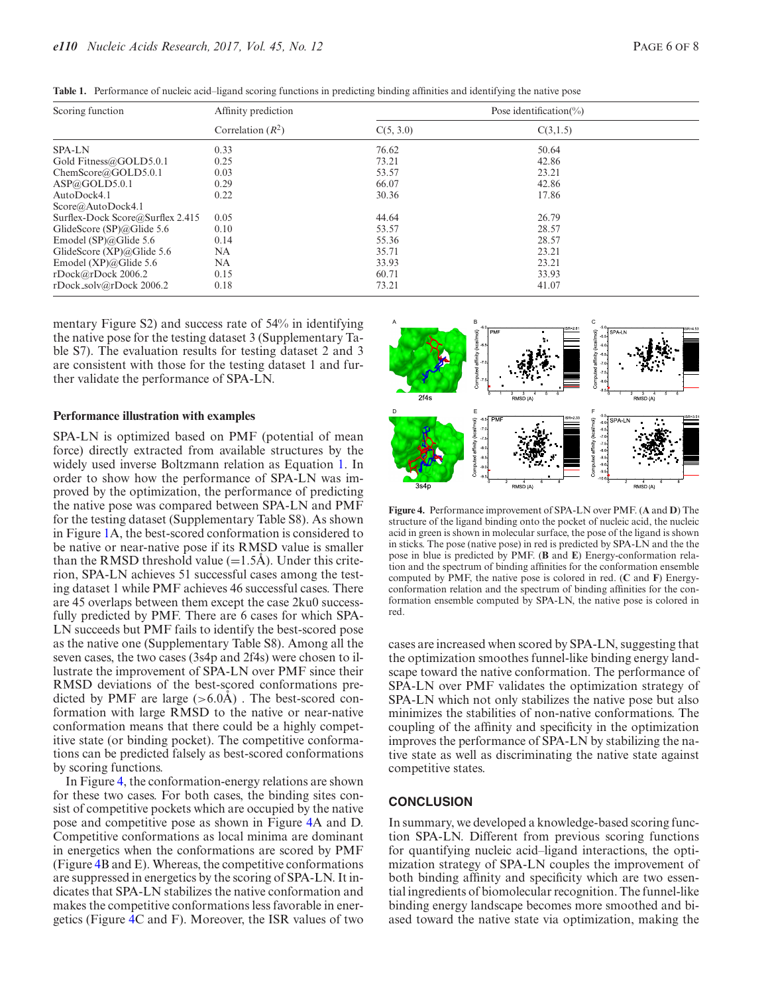| Scoring function                 | Affinity prediction | Pose identification(%) |          |  |
|----------------------------------|---------------------|------------------------|----------|--|
|                                  | Correlation $(R^2)$ | C(5, 3.0)              | C(3,1.5) |  |
| <b>SPA-LN</b>                    | 0.33                | 76.62                  | 50.64    |  |
| Gold Fitness@GOLD5.0.1           | 0.25                | 73.21                  | 42.86    |  |
| ChemScore@GOLD5.0.1              | 0.03                | 53.57                  | 23.21    |  |
| ASP@GOLD5.0.1                    | 0.29                | 66.07                  | 42.86    |  |
| AutoDock4.1                      | 0.22                | 30.36                  | 17.86    |  |
| Score@AutoDock4.1                |                     |                        |          |  |
| Surflex-Dock Score@Surflex 2.415 | 0.05                | 44.64                  | 26.79    |  |
| GlideScore $(SP)@G$ lide 5.6     | 0.10                | 53.57                  | 28.57    |  |
| Emodel (SP) $@$ Glide 5.6        | 0.14                | 55.36                  | 28.57    |  |
| GlideScore $(XP)@G$ lide 5.6     | NA                  | 35.71                  | 23.21    |  |
| Emodel $(XP)@G$ lide 5.6         | NA                  | 33.93                  | 23.21    |  |
| rDock@rDock 2006.2               | 0.15                | 60.71                  | 33.93    |  |
| rDock_solv@rDock 2006.2          | 0.18                | 73.21                  | 41.07    |  |

<span id="page-5-0"></span>**Table 1.** Performance of nucleic acid–ligand scoring functions in predicting binding affinities and identifying the native pose

mentary Figure S2) and success rate of 54% in identifying the native pose for the testing dataset 3 (Supplementary Table S7). The evaluation results for testing dataset 2 and 3 are consistent with those for the testing dataset 1 and further validate the performance of SPA-LN.

#### **Performance illustration with examples**

SPA-LN is optimized based on PMF (potential of mean force) directly extracted from available structures by the widely used inverse Boltzmann relation as Equation [1.](#page-1-0) In order to show how the performance of SPA-LN was improved by the optimization, the performance of predicting the native pose was compared between SPA-LN and PMF for the testing dataset (Supplementary Table S8). As shown in Figure [1A](#page-1-0), the best-scored conformation is considered to be native or near-native pose if its RMSD value is smaller than the RMSD threshold value  $(=1.5\text{\AA})$ . Under this criterion, SPA-LN achieves 51 successful cases among the testing dataset 1 while PMF achieves 46 successful cases. There are 45 overlaps between them except the case 2ku0 successfully predicted by PMF. There are 6 cases for which SPA-LN succeeds but PMF fails to identify the best-scored pose as the native one (Supplementary Table S8). Among all the seven cases, the two cases (3s4p and 2f4s) were chosen to illustrate the improvement of SPA-LN over PMF since their RMSD deviations of the best-scored conformations predicted by PMF are large  $(>6.0\text{\AA})$ . The best-scored conformation with large RMSD to the native or near-native conformation means that there could be a highly competitive state (or binding pocket). The competitive conformations can be predicted falsely as best-scored conformations by scoring functions.

In Figure 4, the conformation-energy relations are shown for these two cases. For both cases, the binding sites consist of competitive pockets which are occupied by the native pose and competitive pose as shown in Figure 4A and D. Competitive conformations as local minima are dominant in energetics when the conformations are scored by PMF (Figure 4B and E). Whereas, the competitive conformations are suppressed in energetics by the scoring of SPA-LN. It indicates that SPA-LN stabilizes the native conformation and makes the competitive conformations less favorable in energetics (Figure 4C and F). Moreover, the ISR values of two



**Figure 4.** Performance improvement of SPA-LN over PMF. (**A** and **D**) The structure of the ligand binding onto the pocket of nucleic acid, the nucleic acid in green is shown in molecular surface, the pose of the ligand is shown in sticks. The pose (native pose) in red is predicted by SPA-LN and the the pose in blue is predicted by PMF. (**B** and **E**) Energy-conformation relation and the spectrum of binding affinities for the conformation ensemble computed by PMF, the native pose is colored in red. (**C** and **F**) Energyconformation relation and the spectrum of binding affinities for the conformation ensemble computed by SPA-LN, the native pose is colored in red.

cases are increased when scored by SPA-LN, suggesting that the optimization smoothes funnel-like binding energy landscape toward the native conformation. The performance of SPA-LN over PMF validates the optimization strategy of SPA-LN which not only stabilizes the native pose but also minimizes the stabilities of non-native conformations. The coupling of the affinity and specificity in the optimization improves the performance of SPA-LN by stabilizing the native state as well as discriminating the native state against competitive states.

## **CONCLUSION**

In summary, we developed a knowledge-based scoring function SPA-LN. Different from previous scoring functions for quantifying nucleic acid–ligand interactions, the optimization strategy of SPA-LN couples the improvement of both binding affinity and specificity which are two essential ingredients of biomolecular recognition. The funnel-like binding energy landscape becomes more smoothed and biased toward the native state via optimization, making the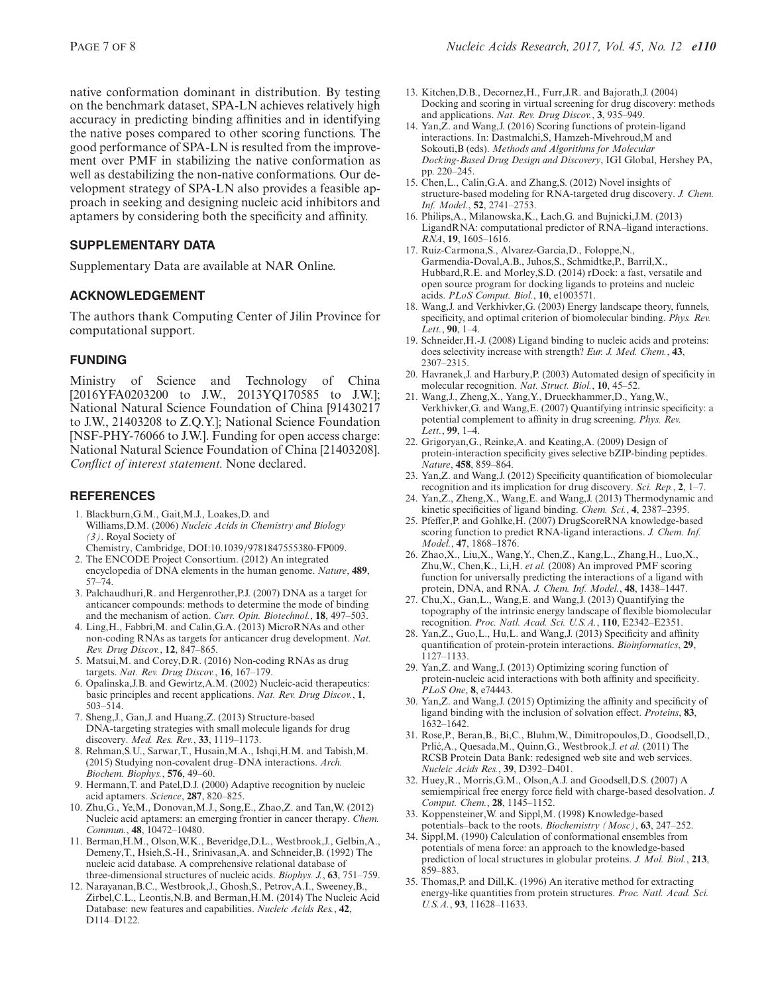<span id="page-6-0"></span>the native poses compared to other scoring functions. The good performance of SPA-LN is resulted from the improvement over PMF in stabilizing the native conformation as well as destabilizing the non-native conformations. Our development strategy of SPA-LN also provides a feasible approach in seeking and designing nucleic acid inhibitors and aptamers by considering both the specificity and affinity.

# **SUPPLEMENTARY DATA**

Supplementary Data are available at NAR Online.

## **ACKNOWLEDGEMENT**

The authors thank Computing Center of Jilin Province for computational support.

# **FUNDING**

Ministry of Science and Technology of China [2016YFA0203200 to J.W., 2013YQ170585 to J.W.]; National Natural Science Foundation of China [91430217 to J.W., 21403208 to Z.Q.Y.]; National Science Foundation [NSF-PHY-76066 to J.W.]. Funding for open access charge: National Natural Science Foundation of China [21403208]. *Conflict of interest statement.* None declared.

# **REFERENCES**

- 1. Blackburn,G.M., Gait,M.J., Loakes,D. and Williams,D.M. (2006) *Nucleic Acids in Chemistry and Biology (3)*. Royal Society of
	- Chemistry, Cambridge, DOI:10.1039/9781847555380-FP009.
- 2. The ENCODE Project Consortium. (2012) An integrated encyclopedia of DNA elements in the human genome. *Nature*, **489**, 57–74.
- 3. Palchaudhuri,R. and Hergenrother,P.J. (2007) DNA as a target for anticancer compounds: methods to determine the mode of binding and the mechanism of action. *Curr. Opin. Biotechnol.*, **18**, 497–503.
- 4. Ling,H., Fabbri,M. and Calin,G.A. (2013) MicroRNAs and other non-coding RNAs as targets for anticancer drug development. *Nat. Rev. Drug Discov.*, **12**, 847–865.
- 5. Matsui,M. and Corey,D.R. (2016) Non-coding RNAs as drug targets. *Nat. Rev. Drug Discov.*, **16**, 167–179.
- 6. Opalinska,J.B. and Gewirtz,A.M. (2002) Nucleic-acid therapeutics: basic principles and recent applications. *Nat. Rev. Drug Discov.*, **1**, 503–514.
- 7. Sheng,J., Gan,J. and Huang,Z. (2013) Structure-based DNA-targeting strategies with small molecule ligands for drug discovery. *Med. Res. Rev.*, **33**, 1119–1173.
- 8. Rehman,S.U., Sarwar,T., Husain,M.A., Ishqi,H.M. and Tabish,M. (2015) Studying non-covalent drug–DNA interactions. *Arch. Biochem. Biophys.*, **576**, 49–60.
- 9. Hermann,T. and Patel,D.J. (2000) Adaptive recognition by nucleic acid aptamers. *Science*, **287**, 820–825.
- 10. Zhu,G., Ye,M., Donovan,M.J., Song,E., Zhao,Z. and Tan,W. (2012) Nucleic acid aptamers: an emerging frontier in cancer therapy. *Chem. Commun.*, **48**, 10472–10480.
- 11. Berman,H.M., Olson,W.K., Beveridge,D.L., Westbrook,J., Gelbin,A., Demeny,T., Hsieh,S.-H., Srinivasan,A. and Schneider,B. (1992) The nucleic acid database. A comprehensive relational database of three-dimensional structures of nucleic acids. *Biophys. J.*, **63**, 751–759.
- 12. Narayanan,B.C., Westbrook,J., Ghosh,S., Petrov,A.I., Sweeney,B., Zirbel,C.L., Leontis,N.B. and Berman,H.M. (2014) The Nucleic Acid Database: new features and capabilities. *Nucleic Acids Res.*, **42**, D114–D122.
- 13. Kitchen,D.B., Decornez,H., Furr,J.R. and Bajorath,J. (2004) Docking and scoring in virtual screening for drug discovery: methods and applications. *Nat. Rev. Drug Discov.*, **3**, 935–949.
- 14. Yan,Z. and Wang,J. (2016) Scoring functions of protein-ligand interactions. In: Dastmalchi,S, Hamzeh-Mivehroud,M and Sokouti,B (eds). *Methods and Algorithms for Molecular Docking-Based Drug Design and Discovery*, IGI Global, Hershey PA, pp. 220–245.
- 15. Chen,L., Calin,G.A. and Zhang,S. (2012) Novel insights of structure-based modeling for RNA-targeted drug discovery. *J. Chem. Inf. Model.*, **52**, 2741–2753.
- 16. Philips,A., Milanowska,K., Lach,G. and Bujnicki,J.M. (2013) LigandRNA: computational predictor of RNA–ligand interactions. *RNA*, **19**, 1605–1616.
- 17. Ruiz-Carmona,S., Alvarez-Garcia,D., Foloppe,N., Garmendia-Doval,A.B., Juhos,S., Schmidtke,P., Barril,X., Hubbard,R.E. and Morley,S.D. (2014) rDock: a fast, versatile and open source program for docking ligands to proteins and nucleic acids. *PLoS Comput. Biol.*, **10**, e1003571.
- 18. Wang,J. and Verkhivker,G. (2003) Energy landscape theory, funnels, specificity, and optimal criterion of biomolecular binding. *Phys. Rev. Lett.*, **90**, 1–4.
- 19. Schneider,H.-J. (2008) Ligand binding to nucleic acids and proteins: does selectivity increase with strength? *Eur. J. Med. Chem.*, **43**, 2307–2315.
- 20. Havranek,J. and Harbury,P. (2003) Automated design of specificity in molecular recognition. *Nat. Struct. Biol.*, **10**, 45–52.
- 21. Wang,J., Zheng,X., Yang,Y., Drueckhammer,D., Yang,W., Verkhivker,G. and Wang,E. (2007) Quantifying intrinsic specificity: a potential complement to affinity in drug screening. *Phys. Rev. Lett.*, **99**, 1–4.
- 22. Grigoryan,G., Reinke,A. and Keating,A. (2009) Design of protein-interaction specificity gives selective bZIP-binding peptides. *Nature*, **458**, 859–864.
- 23. Yan,Z. and Wang,J. (2012) Specificity quantification of biomolecular recognition and its implication for drug discovery. *Sci. Rep.*, **2**, 1–7.
- 24. Yan,Z., Zheng,X., Wang,E. and Wang,J. (2013) Thermodynamic and kinetic specificities of ligand binding. *Chem. Sci.*, **4**, 2387–2395.
- 25. Pfeffer,P. and Gohlke,H. (2007) DrugScoreRNA knowledge-based scoring function to predict RNA-ligand interactions. *J. Chem. Inf. Model.*, **47**, 1868–1876.
- 26. Zhao,X., Liu,X., Wang,Y., Chen,Z., Kang,L., Zhang,H., Luo,X., Zhu,W., Chen,K., Li,H. *et al.* (2008) An improved PMF scoring function for universally predicting the interactions of a ligand with protein, DNA, and RNA. *J. Chem. Inf. Model.*, **48**, 1438–1447.
- 27. Chu,X., Gan,L., Wang,E. and Wang,J. (2013) Quantifying the topography of the intrinsic energy landscape of flexible biomolecular recognition. *Proc. Natl. Acad. Sci. U.S.A.*, **110**, E2342–E2351.
- 28. Yan,Z., Guo,L., Hu,L. and Wang,J. (2013) Specificity and affinity quantification of protein-protein interactions. *Bioinformatics*, **29**, 1127–1133.
- 29. Yan,Z. and Wang,J. (2013) Optimizing scoring function of protein-nucleic acid interactions with both affinity and specificity. *PLoS One*, **8**, e74443.
- 30. Yan,Z. and Wang,J. (2015) Optimizing the affinity and specificity of ligand binding with the inclusion of solvation effect. *Proteins*, **83**, 1632–1642.
- 31. Rose,P., Beran,B., Bi,C., Bluhm,W., Dimitropoulos,D., Goodsell,D., Prlic,A., Quesada,M., Quinn,G., Westbrook, J. et al. (2011) The RCSB Protein Data Bank: redesigned web site and web services. *Nucleic Acids Res.*, **39**, D392–D401.
- 32. Huey,R., Morris,G.M., Olson,A.J. and Goodsell,D.S. (2007) A semiempirical free energy force field with charge-based desolvation. *J. Comput. Chem.*, **28**, 1145–1152.
- 33. Koppensteiner,W. and Sippl,M. (1998) Knowledge-based potentials–back to the roots. *Biochemistry (Mosc)*, **63**, 247–252.
- 34. Sippl,M. (1990) Calculation of conformational ensembles from potentials of mena force: an approach to the knowledge-based prediction of local structures in globular proteins. *J. Mol. Biol.*, **213**, 859–883.
- 35. Thomas,P. and Dill,K. (1996) An iterative method for extracting energy-like quantities from protein structures. *Proc. Natl. Acad. Sci. U.S.A.*, **93**, 11628–11633.